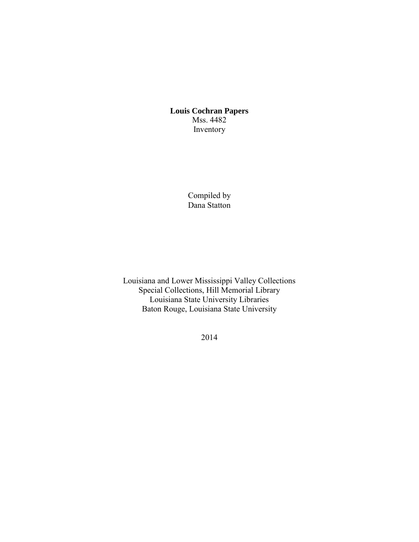**Louis Cochran Papers**  Mss. 4482 Inventory

> Compiled by Dana Statton

Louisiana and Lower Mississippi Valley Collections Special Collections, Hill Memorial Library Louisiana State University Libraries Baton Rouge, Louisiana State University

2014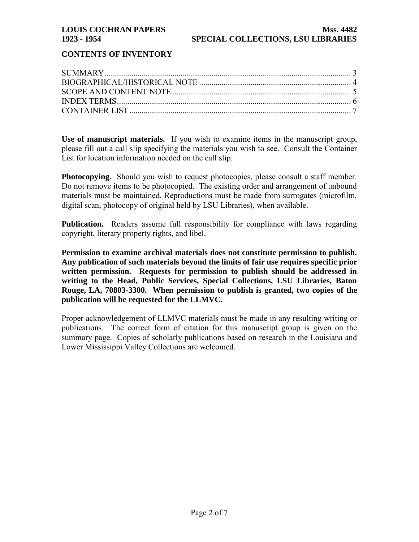## **CONTENTS OF INVENTORY**

**Use of manuscript materials.** If you wish to examine items in the manuscript group, please fill out a call slip specifying the materials you wish to see. Consult the Container List for location information needed on the call slip.

**Photocopying.** Should you wish to request photocopies, please consult a staff member. Do not remove items to be photocopied. The existing order and arrangement of unbound materials must be maintained. Reproductions must be made from surrogates (microfilm, digital scan, photocopy of original held by LSU Libraries), when available.

**Publication.** Readers assume full responsibility for compliance with laws regarding copyright, literary property rights, and libel.

**Permission to examine archival materials does not constitute permission to publish. Any publication of such materials beyond the limits of fair use requires specific prior written permission. Requests for permission to publish should be addressed in writing to the Head, Public Services, Special Collections, LSU Libraries, Baton Rouge, LA, 70803-3300. When permission to publish is granted, two copies of the publication will be requested for the LLMVC.** 

Proper acknowledgement of LLMVC materials must be made in any resulting writing or publications. The correct form of citation for this manuscript group is given on the summary page. Copies of scholarly publications based on research in the Louisiana and Lower Mississippi Valley Collections are welcomed.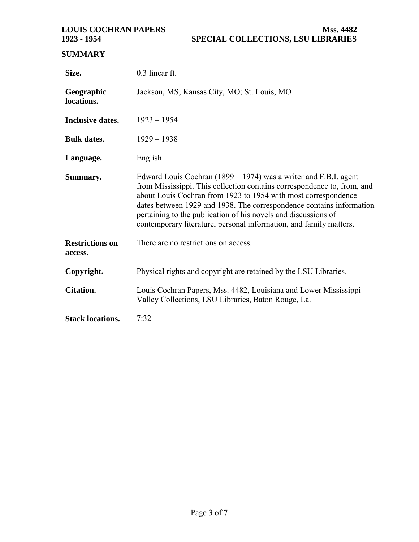# <span id="page-2-0"></span>**SUMMARY**

| Size.                             | 0.3 linear ft.                                                                                                                                                                                                                                                                                                                                                                                                                |  |  |  |
|-----------------------------------|-------------------------------------------------------------------------------------------------------------------------------------------------------------------------------------------------------------------------------------------------------------------------------------------------------------------------------------------------------------------------------------------------------------------------------|--|--|--|
| Geographic<br>locations.          | Jackson, MS; Kansas City, MO; St. Louis, MO                                                                                                                                                                                                                                                                                                                                                                                   |  |  |  |
| <b>Inclusive dates.</b>           | $1923 - 1954$                                                                                                                                                                                                                                                                                                                                                                                                                 |  |  |  |
| <b>Bulk dates.</b>                | $1929 - 1938$                                                                                                                                                                                                                                                                                                                                                                                                                 |  |  |  |
| Language.                         | English                                                                                                                                                                                                                                                                                                                                                                                                                       |  |  |  |
| Summary.                          | Edward Louis Cochran (1899 – 1974) was a writer and F.B.I. agent<br>from Mississippi. This collection contains correspondence to, from, and<br>about Louis Cochran from 1923 to 1954 with most correspondence<br>dates between 1929 and 1938. The correspondence contains information<br>pertaining to the publication of his novels and discussions of<br>contemporary literature, personal information, and family matters. |  |  |  |
| <b>Restrictions on</b><br>access. | There are no restrictions on access.                                                                                                                                                                                                                                                                                                                                                                                          |  |  |  |
| Copyright.                        | Physical rights and copyright are retained by the LSU Libraries.                                                                                                                                                                                                                                                                                                                                                              |  |  |  |
| <b>Citation.</b>                  | Louis Cochran Papers, Mss. 4482, Louisiana and Lower Mississippi<br>Valley Collections, LSU Libraries, Baton Rouge, La.                                                                                                                                                                                                                                                                                                       |  |  |  |
| <b>Stack locations.</b>           | 7:32                                                                                                                                                                                                                                                                                                                                                                                                                          |  |  |  |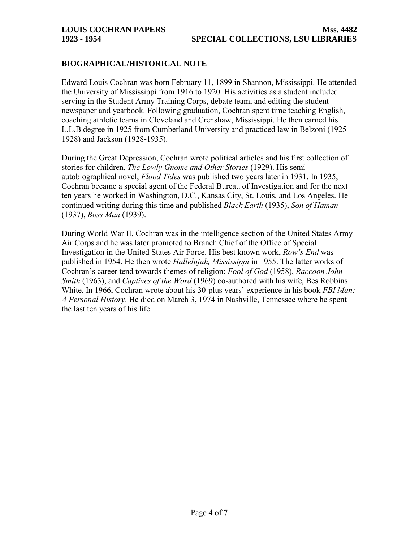## <span id="page-3-0"></span>**BIOGRAPHICAL/HISTORICAL NOTE**

Edward Louis Cochran was born February 11, 1899 in Shannon, Mississippi. He attended the University of Mississippi from 1916 to 1920. His activities as a student included serving in the Student Army Training Corps, debate team, and editing the student newspaper and yearbook. Following graduation, Cochran spent time teaching English, coaching athletic teams in Cleveland and Crenshaw, Mississippi. He then earned his L.L.B degree in 1925 from Cumberland University and practiced law in Belzoni (1925- 1928) and Jackson (1928-1935).

During the Great Depression, Cochran wrote political articles and his first collection of stories for children, *The Lowly Gnome and Other Stories* (1929). His semiautobiographical novel, *Flood Tides* was published two years later in 1931. In 1935, Cochran became a special agent of the Federal Bureau of Investigation and for the next ten years he worked in Washington, D.C., Kansas City, St. Louis, and Los Angeles. He continued writing during this time and published *Black Earth* (1935), *Son of Haman*  (1937), *Boss Man* (1939).

During World War II, Cochran was in the intelligence section of the United States Army Air Corps and he was later promoted to Branch Chief of the Office of Special Investigation in the United States Air Force. His best known work, *Row's End* was published in 1954. He then wrote *Hallelujah, Mississippi* in 1955. The latter works of Cochran's career tend towards themes of religion: *Fool of God* (1958), *Raccoon John Smith* (1963), and *Captives of the Word* (1969) co-authored with his wife, Bes Robbins White. In 1966, Cochran wrote about his 30-plus years' experience in his book *FBI Man: A Personal History*. He died on March 3, 1974 in Nashville, Tennessee where he spent the last ten years of his life.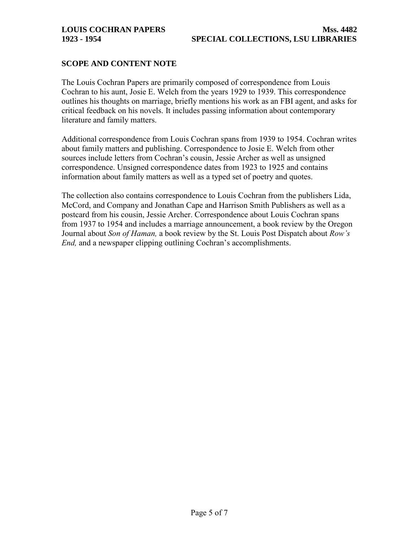### <span id="page-4-0"></span>**SCOPE AND CONTENT NOTE**

The Louis Cochran Papers are primarily composed of correspondence from Louis Cochran to his aunt, Josie E. Welch from the years 1929 to 1939. This correspondence outlines his thoughts on marriage, briefly mentions his work as an FBI agent, and asks for critical feedback on his novels. It includes passing information about contemporary literature and family matters.

Additional correspondence from Louis Cochran spans from 1939 to 1954. Cochran writes about family matters and publishing. Correspondence to Josie E. Welch from other sources include letters from Cochran's cousin, Jessie Archer as well as unsigned correspondence. Unsigned correspondence dates from 1923 to 1925 and contains information about family matters as well as a typed set of poetry and quotes.

The collection also contains correspondence to Louis Cochran from the publishers Lida, McCord, and Company and Jonathan Cape and Harrison Smith Publishers as well as a postcard from his cousin, Jessie Archer. Correspondence about Louis Cochran spans from 1937 to 1954 and includes a marriage announcement, a book review by the Oregon Journal about *Son of Haman,* a book review by the St. Louis Post Dispatch about *Row's End,* and a newspaper clipping outlining Cochran's accomplishments.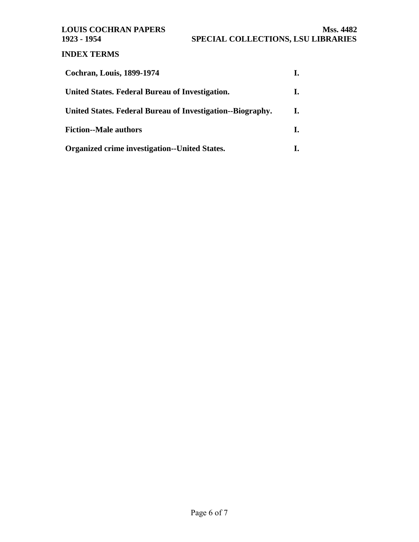# <span id="page-5-0"></span>**INDEX TERMS**

| <b>Cochran, Louis, 1899-1974</b>                           |    |
|------------------------------------------------------------|----|
| United States. Federal Bureau of Investigation.            | ı. |
| United States. Federal Bureau of Investigation--Biography. | L. |
| <b>Fiction--Male authors</b>                               | I. |
| <b>Organized crime investigation--United States.</b>       |    |